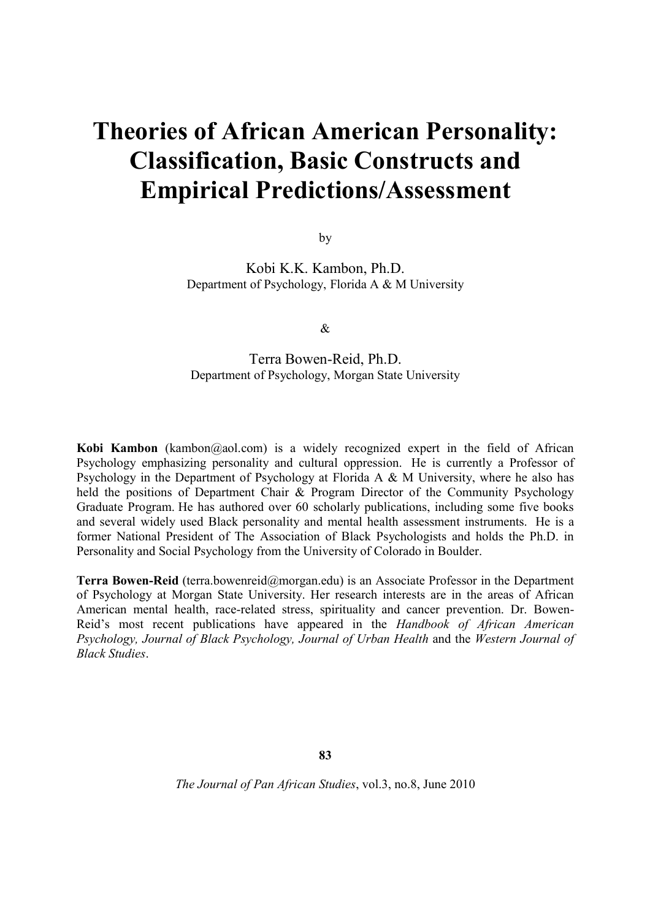# **Theories of African American Personality: Classification, Basic Constructs and Empirical Predictions/Assessment**

by

Kobi K.K. Kambon, Ph.D. Department of Psychology, Florida A & M University

&

## Terra Bowen-Reid, Ph.D. Department of Psychology, Morgan State University

**Kobi Kambon** (kambon@aol.com) is a widely recognized expert in the field of African Psychology emphasizing personality and cultural oppression. He is currently a Professor of Psychology in the Department of Psychology at Florida A & M University, where he also has held the positions of Department Chair & Program Director of the Community Psychology Graduate Program. He has authored over 60 scholarly publications, including some five books and several widely used Black personality and mental health assessment instruments. He is a former National President of The Association of Black Psychologists and holds the Ph.D. in Personality and Social Psychology from the University of Colorado in Boulder.

**Terra Bowen-Reid** (terra.bowenreid@morgan.edu) is an Associate Professor in the Department of Psychology at Morgan State University. Her research interests are in the areas of African American mental health, race-related stress, spirituality and cancer prevention. Dr. Bowen-Reid's most recent publications have appeared in the *Handbook of African American Psychology, Journal of Black Psychology, Journal of Urban Health* and the *Western Journal of Black Studies*.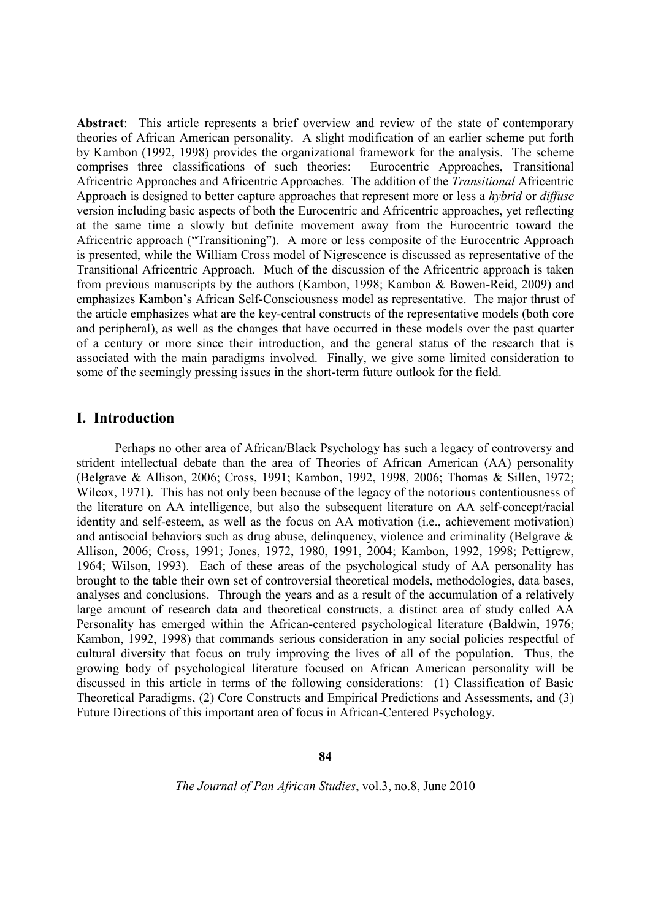**Abstract**: This article represents a brief overview and review of the state of contemporary theories of African American personality. A slight modification of an earlier scheme put forth by Kambon (1992, 1998) provides the organizational framework for the analysis. The scheme comprises three classifications of such theories: Eurocentric Approaches, Transitional Africentric Approaches and Africentric Approaches. The addition of the *Transitional* Africentric Approach is designed to better capture approaches that represent more or less a *hybrid* or *diffuse* version including basic aspects of both the Eurocentric and Africentric approaches, yet reflecting at the same time a slowly but definite movement away from the Eurocentric toward the Africentric approach ("Transitioning"). A more or less composite of the Eurocentric Approach is presented, while the William Cross model of Nigrescence is discussed as representative of the Transitional Africentric Approach. Much of the discussion of the Africentric approach is taken from previous manuscripts by the authors (Kambon, 1998; Kambon & Bowen-Reid, 2009) and emphasizes Kambon's African Self-Consciousness model as representative. The major thrust of the article emphasizes what are the key-central constructs of the representative models (both core and peripheral), as well as the changes that have occurred in these models over the past quarter of a century or more since their introduction, and the general status of the research that is associated with the main paradigms involved. Finally, we give some limited consideration to some of the seemingly pressing issues in the short-term future outlook for the field.

### **I. Introduction**

Perhaps no other area of African/Black Psychology has such a legacy of controversy and strident intellectual debate than the area of Theories of African American (AA) personality (Belgrave & Allison, 2006; Cross, 1991; Kambon, 1992, 1998, 2006; Thomas & Sillen, 1972; Wilcox, 1971). This has not only been because of the legacy of the notorious contentiousness of the literature on AA intelligence, but also the subsequent literature on AA self-concept/racial identity and self-esteem, as well as the focus on AA motivation (i.e., achievement motivation) and antisocial behaviors such as drug abuse, delinquency, violence and criminality (Belgrave & Allison, 2006; Cross, 1991; Jones, 1972, 1980, 1991, 2004; Kambon, 1992, 1998; Pettigrew, 1964; Wilson, 1993). Each of these areas of the psychological study of AA personality has brought to the table their own set of controversial theoretical models, methodologies, data bases, analyses and conclusions. Through the years and as a result of the accumulation of a relatively large amount of research data and theoretical constructs, a distinct area of study called AA Personality has emerged within the African-centered psychological literature (Baldwin, 1976; Kambon, 1992, 1998) that commands serious consideration in any social policies respectful of cultural diversity that focus on truly improving the lives of all of the population. Thus, the growing body of psychological literature focused on African American personality will be discussed in this article in terms of the following considerations: (1) Classification of Basic Theoretical Paradigms, (2) Core Constructs and Empirical Predictions and Assessments, and (3) Future Directions of this important area of focus in African-Centered Psychology.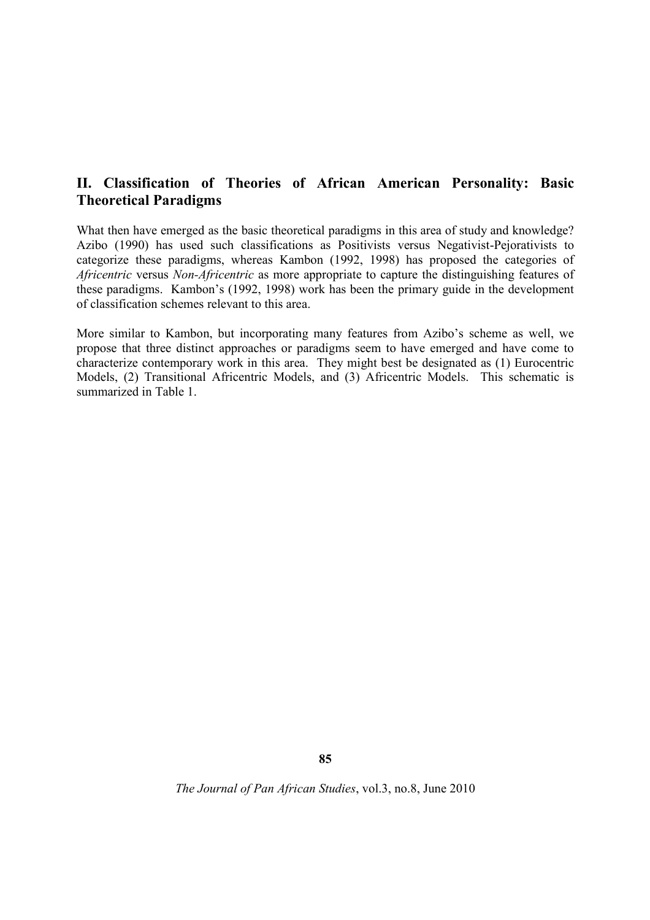# **II. Classification of Theories of African American Personality: Basic Theoretical Paradigms**

What then have emerged as the basic theoretical paradigms in this area of study and knowledge? Azibo (1990) has used such classifications as Positivists versus Negativist-Pejorativists to categorize these paradigms, whereas Kambon (1992, 1998) has proposed the categories of *Africentric* versus *Non-Africentric* as more appropriate to capture the distinguishing features of these paradigms. Kambon's (1992, 1998) work has been the primary guide in the development of classification schemes relevant to this area.

More similar to Kambon, but incorporating many features from Azibo's scheme as well, we propose that three distinct approaches or paradigms seem to have emerged and have come to characterize contemporary work in this area. They might best be designated as (1) Eurocentric Models, (2) Transitional Africentric Models, and (3) Africentric Models. This schematic is summarized in Table 1.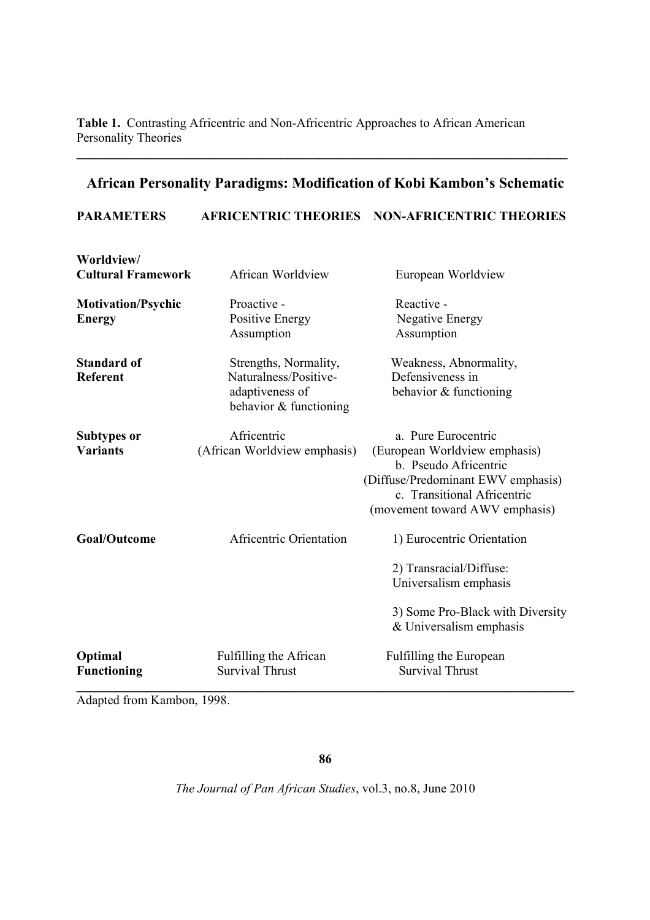**Table 1.** Contrasting Africentric and Non-Africentric Approaches to African American Personality Theories

# **African Personality Paradigms: Modification of Kobi Kambon's Schematic**

**\_\_\_\_\_\_\_\_\_\_\_\_\_\_\_\_\_\_\_\_\_\_\_\_\_\_\_\_\_\_\_\_\_\_\_\_\_\_\_\_\_\_\_\_\_\_\_\_\_\_\_\_\_\_\_\_\_\_\_\_\_\_\_\_\_\_\_\_\_\_\_\_\_\_\_\_\_**

## **PARAMETERS AFRICENTRIC THEORIES NON-AFRICENTRIC THEORIES**

| Worldview/<br><b>Cultural Framework</b>    | African Worldview                                                                           | European Worldview                                                                                                                                                                   |
|--------------------------------------------|---------------------------------------------------------------------------------------------|--------------------------------------------------------------------------------------------------------------------------------------------------------------------------------------|
| <b>Motivation/Psychic</b><br><b>Energy</b> | Proactive -<br><b>Positive Energy</b><br>Assumption                                         | Reactive -<br><b>Negative Energy</b><br>Assumption                                                                                                                                   |
| <b>Standard of</b><br><b>Referent</b>      | Strengths, Normality,<br>Naturalness/Positive-<br>adaptiveness of<br>behavior & functioning | Weakness, Abnormality,<br>Defensiveness in<br>behavior & functioning                                                                                                                 |
| <b>Subtypes or</b><br><b>Variants</b>      | Africentric<br>(African Worldview emphasis)                                                 | a. Pure Eurocentric<br>(European Worldview emphasis)<br>b. Pseudo Africentric<br>(Diffuse/Predominant EWV emphasis)<br>c. Transitional Africentric<br>(movement toward AWV emphasis) |
| <b>Goal/Outcome</b>                        | Africentric Orientation                                                                     | 1) Eurocentric Orientation<br>2) Transracial/Diffuse:<br>Universalism emphasis<br>3) Some Pro-Black with Diversity<br>& Universalism emphasis                                        |
| Optimal<br><b>Functioning</b>              | Fulfilling the African<br><b>Survival Thrust</b>                                            | Fulfilling the European<br><b>Survival Thrust</b>                                                                                                                                    |

Adapted from Kambon, 1998.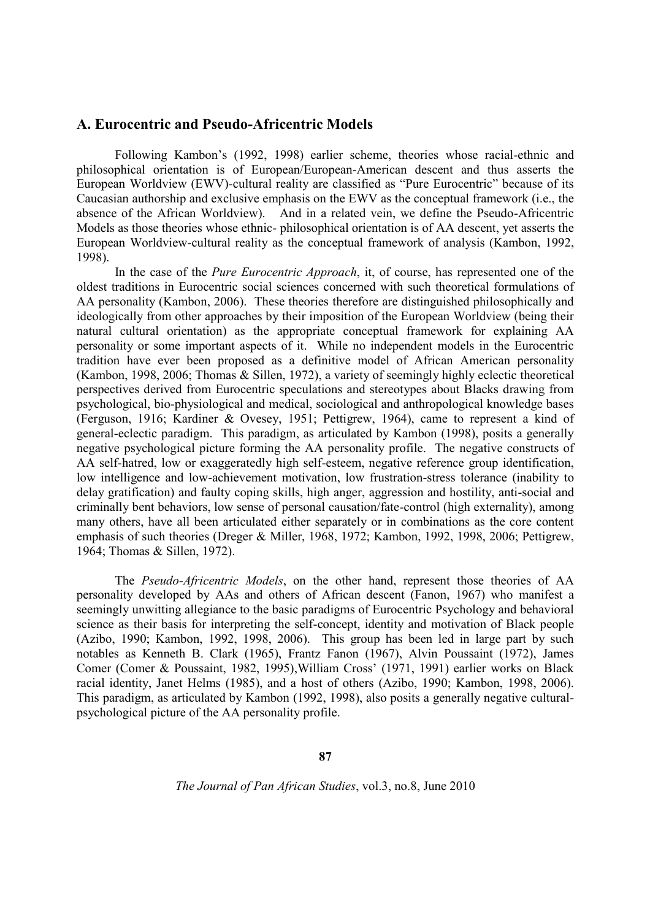#### **A. Eurocentric and Pseudo-Africentric Models**

Following Kambon's (1992, 1998) earlier scheme, theories whose racial-ethnic and philosophical orientation is of European/European-American descent and thus asserts the European Worldview (EWV)-cultural reality are classified as "Pure Eurocentric" because of its Caucasian authorship and exclusive emphasis on the EWV as the conceptual framework (i.e., the absence of the African Worldview). And in a related vein, we define the Pseudo-Africentric Models as those theories whose ethnic- philosophical orientation is of AA descent, yet asserts the European Worldview-cultural reality as the conceptual framework of analysis (Kambon, 1992, 1998).

In the case of the *Pure Eurocentric Approach*, it, of course, has represented one of the oldest traditions in Eurocentric social sciences concerned with such theoretical formulations of AA personality (Kambon, 2006). These theories therefore are distinguished philosophically and ideologically from other approaches by their imposition of the European Worldview (being their natural cultural orientation) as the appropriate conceptual framework for explaining AA personality or some important aspects of it. While no independent models in the Eurocentric tradition have ever been proposed as a definitive model of African American personality (Kambon, 1998, 2006; Thomas & Sillen, 1972), a variety of seemingly highly eclectic theoretical perspectives derived from Eurocentric speculations and stereotypes about Blacks drawing from psychological, bio-physiological and medical, sociological and anthropological knowledge bases (Ferguson, 1916; Kardiner & Ovesey, 1951; Pettigrew, 1964), came to represent a kind of general-eclectic paradigm. This paradigm, as articulated by Kambon (1998), posits a generally negative psychological picture forming the AA personality profile. The negative constructs of AA self-hatred, low or exaggeratedly high self-esteem, negative reference group identification, low intelligence and low-achievement motivation, low frustration-stress tolerance (inability to delay gratification) and faulty coping skills, high anger, aggression and hostility, anti-social and criminally bent behaviors, low sense of personal causation/fate-control (high externality), among many others, have all been articulated either separately or in combinations as the core content emphasis of such theories (Dreger & Miller, 1968, 1972; Kambon, 1992, 1998, 2006; Pettigrew, 1964; Thomas & Sillen, 1972).

The *Pseudo-Africentric Models*, on the other hand, represent those theories of AA personality developed by AAs and others of African descent (Fanon, 1967) who manifest a seemingly unwitting allegiance to the basic paradigms of Eurocentric Psychology and behavioral science as their basis for interpreting the self-concept, identity and motivation of Black people (Azibo, 1990; Kambon, 1992, 1998, 2006). This group has been led in large part by such notables as Kenneth B. Clark (1965), Frantz Fanon (1967), Alvin Poussaint (1972), James Comer (Comer & Poussaint, 1982, 1995),William Cross' (1971, 1991) earlier works on Black racial identity, Janet Helms (1985), and a host of others (Azibo, 1990; Kambon, 1998, 2006). This paradigm, as articulated by Kambon (1992, 1998), also posits a generally negative culturalpsychological picture of the AA personality profile.

**87**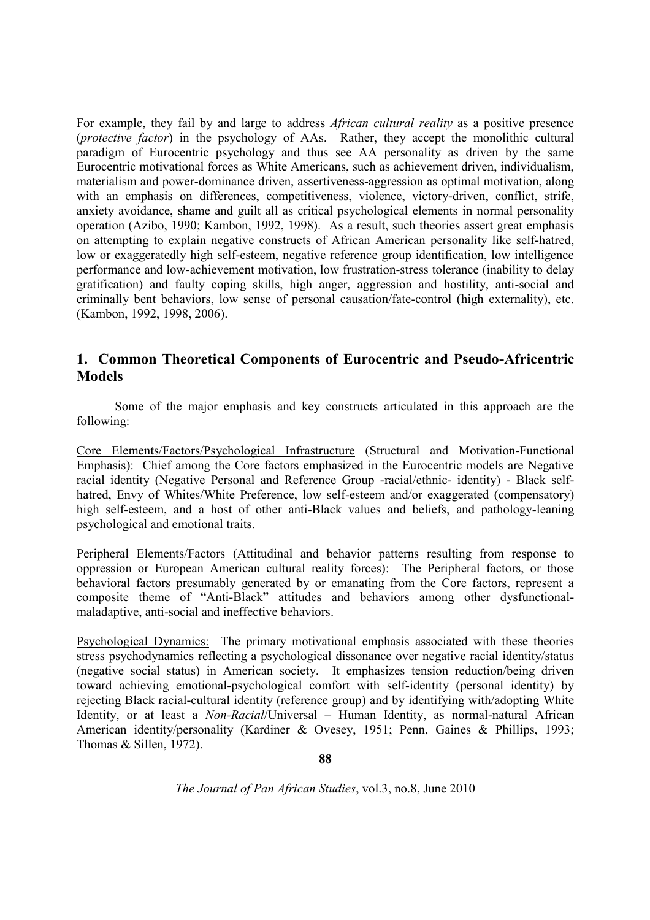For example, they fail by and large to address *African cultural reality* as a positive presence (*protective factor*) in the psychology of AAs. Rather, they accept the monolithic cultural paradigm of Eurocentric psychology and thus see AA personality as driven by the same Eurocentric motivational forces as White Americans, such as achievement driven, individualism, materialism and power-dominance driven, assertiveness-aggression as optimal motivation, along with an emphasis on differences, competitiveness, violence, victory-driven, conflict, strife, anxiety avoidance, shame and guilt all as critical psychological elements in normal personality operation (Azibo, 1990; Kambon, 1992, 1998). As a result, such theories assert great emphasis on attempting to explain negative constructs of African American personality like self-hatred, low or exaggeratedly high self-esteem, negative reference group identification, low intelligence performance and low-achievement motivation, low frustration-stress tolerance (inability to delay gratification) and faulty coping skills, high anger, aggression and hostility, anti-social and criminally bent behaviors, low sense of personal causation/fate-control (high externality), etc. (Kambon, 1992, 1998, 2006).

# **1. Common Theoretical Components of Eurocentric and Pseudo-Africentric Models**

Some of the major emphasis and key constructs articulated in this approach are the following:

Core Elements/Factors/Psychological Infrastructure (Structural and Motivation-Functional Emphasis): Chief among the Core factors emphasized in the Eurocentric models are Negative racial identity (Negative Personal and Reference Group -racial/ethnic- identity) - Black selfhatred, Envy of Whites/White Preference, low self-esteem and/or exaggerated (compensatory) high self-esteem, and a host of other anti-Black values and beliefs, and pathology-leaning psychological and emotional traits.

Peripheral Elements/Factors (Attitudinal and behavior patterns resulting from response to oppression or European American cultural reality forces): The Peripheral factors, or those behavioral factors presumably generated by or emanating from the Core factors, represent a composite theme of "Anti-Black" attitudes and behaviors among other dysfunctionalmaladaptive, anti-social and ineffective behaviors.

Psychological Dynamics: The primary motivational emphasis associated with these theories stress psychodynamics reflecting a psychological dissonance over negative racial identity/status (negative social status) in American society. It emphasizes tension reduction/being driven toward achieving emotional-psychological comfort with self-identity (personal identity) by rejecting Black racial-cultural identity (reference group) and by identifying with/adopting White Identity, or at least a *Non-Racial*/Universal – Human Identity, as normal-natural African American identity/personality (Kardiner & Ovesey, 1951; Penn, Gaines & Phillips, 1993; Thomas & Sillen, 1972).

**88**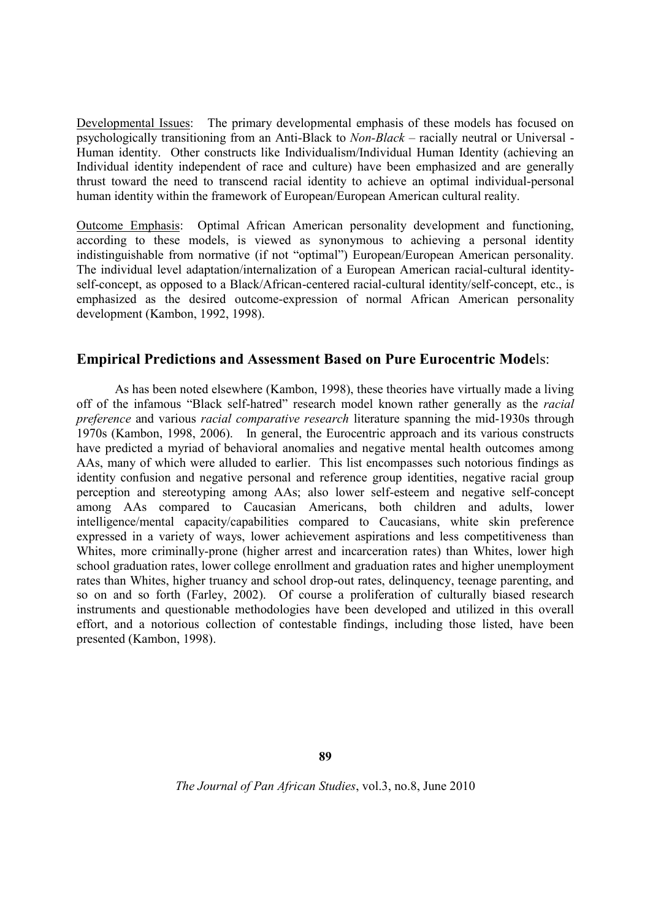Developmental Issues: The primary developmental emphasis of these models has focused on psychologically transitioning from an Anti-Black to *Non-Black* – racially neutral or Universal - Human identity. Other constructs like Individualism/Individual Human Identity (achieving an Individual identity independent of race and culture) have been emphasized and are generally thrust toward the need to transcend racial identity to achieve an optimal individual-personal human identity within the framework of European/European American cultural reality.

Outcome Emphasis: Optimal African American personality development and functioning, according to these models, is viewed as synonymous to achieving a personal identity indistinguishable from normative (if not "optimal") European/European American personality. The individual level adaptation/internalization of a European American racial-cultural identityself-concept, as opposed to a Black/African-centered racial-cultural identity/self-concept, etc., is emphasized as the desired outcome-expression of normal African American personality development (Kambon, 1992, 1998).

## **Empirical Predictions and Assessment Based on Pure Eurocentric Mode**ls:

As has been noted elsewhere (Kambon, 1998), these theories have virtually made a living off of the infamous "Black self-hatred" research model known rather generally as the *racial preference* and various *racial comparative research* literature spanning the mid-1930s through 1970s (Kambon, 1998, 2006). In general, the Eurocentric approach and its various constructs have predicted a myriad of behavioral anomalies and negative mental health outcomes among AAs, many of which were alluded to earlier. This list encompasses such notorious findings as identity confusion and negative personal and reference group identities, negative racial group perception and stereotyping among AAs; also lower self-esteem and negative self-concept among AAs compared to Caucasian Americans, both children and adults, lower intelligence/mental capacity/capabilities compared to Caucasians, white skin preference expressed in a variety of ways, lower achievement aspirations and less competitiveness than Whites, more criminally-prone (higher arrest and incarceration rates) than Whites, lower high school graduation rates, lower college enrollment and graduation rates and higher unemployment rates than Whites, higher truancy and school drop-out rates, delinquency, teenage parenting, and so on and so forth (Farley, 2002). Of course a proliferation of culturally biased research instruments and questionable methodologies have been developed and utilized in this overall effort, and a notorious collection of contestable findings, including those listed, have been presented (Kambon, 1998).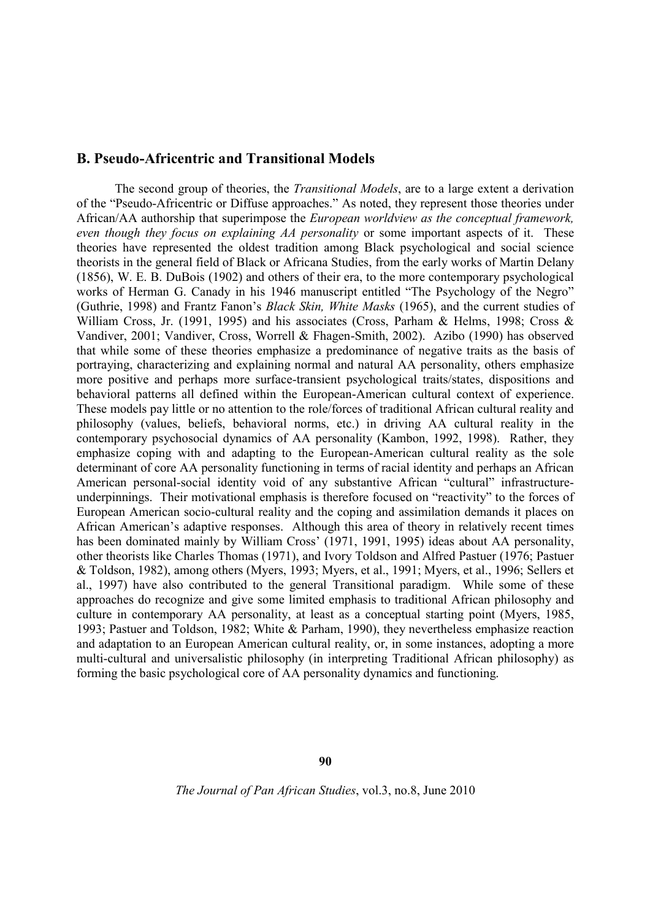## **B. Pseudo-Africentric and Transitional Models**

The second group of theories, the *Transitional Models*, are to a large extent a derivation of the "Pseudo-Africentric or Diffuse approaches." As noted, they represent those theories under African/AA authorship that superimpose the *European worldview as the conceptual framework, even though they focus on explaining AA personality* or some important aspects of it. These theories have represented the oldest tradition among Black psychological and social science theorists in the general field of Black or Africana Studies, from the early works of Martin Delany (1856), W. E. B. DuBois (1902) and others of their era, to the more contemporary psychological works of Herman G. Canady in his 1946 manuscript entitled "The Psychology of the Negro" (Guthrie, 1998) and Frantz Fanon's *Black Skin, White Masks* (1965), and the current studies of William Cross, Jr. (1991, 1995) and his associates (Cross, Parham & Helms, 1998; Cross & Vandiver, 2001; Vandiver, Cross, Worrell & Fhagen-Smith, 2002). Azibo (1990) has observed that while some of these theories emphasize a predominance of negative traits as the basis of portraying, characterizing and explaining normal and natural AA personality, others emphasize more positive and perhaps more surface-transient psychological traits/states, dispositions and behavioral patterns all defined within the European-American cultural context of experience. These models pay little or no attention to the role/forces of traditional African cultural reality and philosophy (values, beliefs, behavioral norms, etc.) in driving AA cultural reality in the contemporary psychosocial dynamics of AA personality (Kambon, 1992, 1998). Rather, they emphasize coping with and adapting to the European-American cultural reality as the sole determinant of core AA personality functioning in terms of racial identity and perhaps an African American personal-social identity void of any substantive African "cultural" infrastructureunderpinnings. Their motivational emphasis is therefore focused on "reactivity" to the forces of European American socio-cultural reality and the coping and assimilation demands it places on African American's adaptive responses. Although this area of theory in relatively recent times has been dominated mainly by William Cross' (1971, 1991, 1995) ideas about AA personality, other theorists like Charles Thomas (1971), and Ivory Toldson and Alfred Pastuer (1976; Pastuer & Toldson, 1982), among others (Myers, 1993; Myers, et al., 1991; Myers, et al., 1996; Sellers et al., 1997) have also contributed to the general Transitional paradigm. While some of these approaches do recognize and give some limited emphasis to traditional African philosophy and culture in contemporary AA personality, at least as a conceptual starting point (Myers, 1985, 1993; Pastuer and Toldson, 1982; White & Parham, 1990), they nevertheless emphasize reaction and adaptation to an European American cultural reality, or, in some instances, adopting a more multi-cultural and universalistic philosophy (in interpreting Traditional African philosophy) as forming the basic psychological core of AA personality dynamics and functioning.

**90**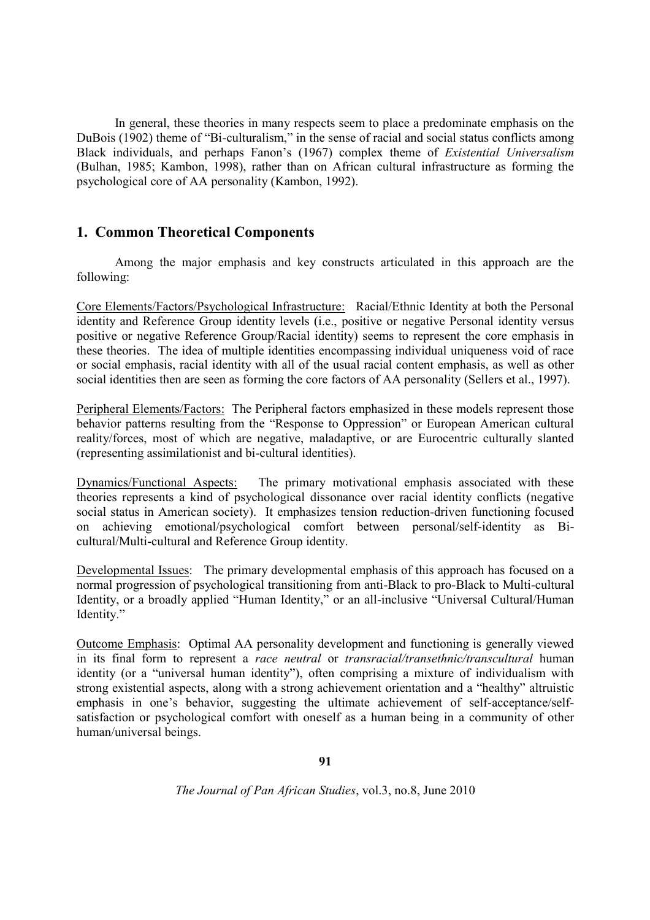In general, these theories in many respects seem to place a predominate emphasis on the DuBois (1902) theme of "Bi-culturalism," in the sense of racial and social status conflicts among Black individuals, and perhaps Fanon's (1967) complex theme of *Existential Universalism* (Bulhan, 1985; Kambon, 1998), rather than on African cultural infrastructure as forming the psychological core of AA personality (Kambon, 1992).

## **1. Common Theoretical Components**

Among the major emphasis and key constructs articulated in this approach are the following:

Core Elements/Factors/Psychological Infrastructure: Racial/Ethnic Identity at both the Personal identity and Reference Group identity levels (i.e., positive or negative Personal identity versus positive or negative Reference Group/Racial identity) seems to represent the core emphasis in these theories. The idea of multiple identities encompassing individual uniqueness void of race or social emphasis, racial identity with all of the usual racial content emphasis, as well as other social identities then are seen as forming the core factors of AA personality (Sellers et al., 1997).

Peripheral Elements/Factors: The Peripheral factors emphasized in these models represent those behavior patterns resulting from the "Response to Oppression" or European American cultural reality/forces, most of which are negative, maladaptive, or are Eurocentric culturally slanted (representing assimilationist and bi-cultural identities).

Dynamics/Functional Aspects: The primary motivational emphasis associated with these theories represents a kind of psychological dissonance over racial identity conflicts (negative social status in American society). It emphasizes tension reduction-driven functioning focused on achieving emotional/psychological comfort between personal/self-identity as Bicultural/Multi-cultural and Reference Group identity.

Developmental Issues: The primary developmental emphasis of this approach has focused on a normal progression of psychological transitioning from anti-Black to pro-Black to Multi-cultural Identity, or a broadly applied "Human Identity," or an all-inclusive "Universal Cultural/Human Identity."

Outcome Emphasis: Optimal AA personality development and functioning is generally viewed in its final form to represent a *race neutral* or *transracial/transethnic/transcultural* human identity (or a "universal human identity"), often comprising a mixture of individualism with strong existential aspects, along with a strong achievement orientation and a "healthy" altruistic emphasis in one's behavior, suggesting the ultimate achievement of self-acceptance/selfsatisfaction or psychological comfort with oneself as a human being in a community of other human/universal beings.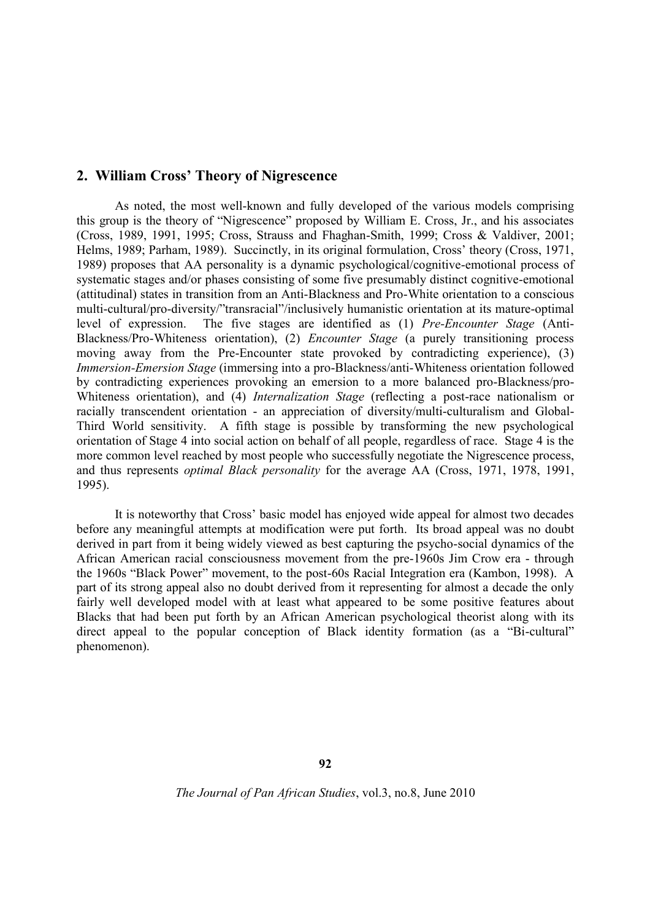## **2. William Cross' Theory of Nigrescence**

As noted, the most well-known and fully developed of the various models comprising this group is the theory of "Nigrescence" proposed by William E. Cross, Jr., and his associates (Cross, 1989, 1991, 1995; Cross, Strauss and Fhaghan-Smith, 1999; Cross & Valdiver, 2001; Helms, 1989; Parham, 1989). Succinctly, in its original formulation, Cross' theory (Cross, 1971, 1989) proposes that AA personality is a dynamic psychological/cognitive-emotional process of systematic stages and/or phases consisting of some five presumably distinct cognitive-emotional (attitudinal) states in transition from an Anti-Blackness and Pro-White orientation to a conscious multi-cultural/pro-diversity/"transracial"/inclusively humanistic orientation at its mature-optimal level of expression. The five stages are identified as (1) *Pre-Encounter Stage* (Anti-Blackness/Pro-Whiteness orientation), (2) *Encounter Stage* (a purely transitioning process moving away from the Pre-Encounter state provoked by contradicting experience), (3) *Immersion-Emersion Stage* (immersing into a pro-Blackness/anti-Whiteness orientation followed by contradicting experiences provoking an emersion to a more balanced pro-Blackness/pro-Whiteness orientation), and (4) *Internalization Stage* (reflecting a post-race nationalism or racially transcendent orientation - an appreciation of diversity/multi-culturalism and Global-Third World sensitivity. A fifth stage is possible by transforming the new psychological orientation of Stage 4 into social action on behalf of all people, regardless of race. Stage 4 is the more common level reached by most people who successfully negotiate the Nigrescence process, and thus represents *optimal Black personality* for the average AA (Cross, 1971, 1978, 1991, 1995).

It is noteworthy that Cross' basic model has enjoyed wide appeal for almost two decades before any meaningful attempts at modification were put forth. Its broad appeal was no doubt derived in part from it being widely viewed as best capturing the psycho-social dynamics of the African American racial consciousness movement from the pre-1960s Jim Crow era - through the 1960s "Black Power" movement, to the post-60s Racial Integration era (Kambon, 1998). A part of its strong appeal also no doubt derived from it representing for almost a decade the only fairly well developed model with at least what appeared to be some positive features about Blacks that had been put forth by an African American psychological theorist along with its direct appeal to the popular conception of Black identity formation (as a "Bi-cultural" phenomenon).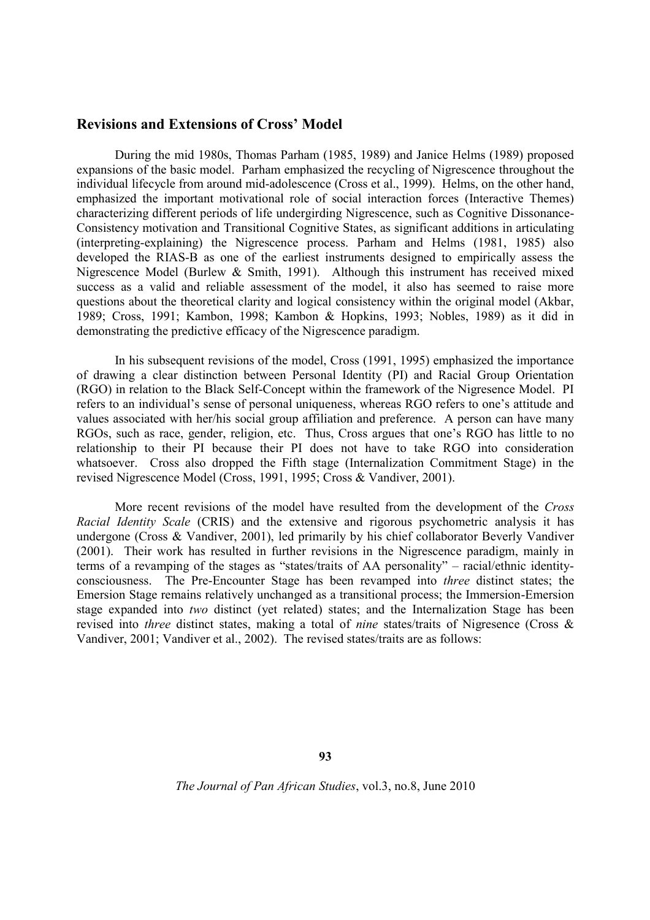#### **Revisions and Extensions of Cross' Model**

During the mid 1980s, Thomas Parham (1985, 1989) and Janice Helms (1989) proposed expansions of the basic model. Parham emphasized the recycling of Nigrescence throughout the individual lifecycle from around mid-adolescence (Cross et al., 1999). Helms, on the other hand, emphasized the important motivational role of social interaction forces (Interactive Themes) characterizing different periods of life undergirding Nigrescence, such as Cognitive Dissonance-Consistency motivation and Transitional Cognitive States, as significant additions in articulating (interpreting-explaining) the Nigrescence process. Parham and Helms (1981, 1985) also developed the RIAS-B as one of the earliest instruments designed to empirically assess the Nigrescence Model (Burlew & Smith, 1991). Although this instrument has received mixed success as a valid and reliable assessment of the model, it also has seemed to raise more questions about the theoretical clarity and logical consistency within the original model (Akbar, 1989; Cross, 1991; Kambon, 1998; Kambon & Hopkins, 1993; Nobles, 1989) as it did in demonstrating the predictive efficacy of the Nigrescence paradigm.

In his subsequent revisions of the model, Cross (1991, 1995) emphasized the importance of drawing a clear distinction between Personal Identity (PI) and Racial Group Orientation (RGO) in relation to the Black Self-Concept within the framework of the Nigresence Model. PI refers to an individual's sense of personal uniqueness, whereas RGO refers to one's attitude and values associated with her/his social group affiliation and preference. A person can have many RGOs, such as race, gender, religion, etc. Thus, Cross argues that one's RGO has little to no relationship to their PI because their PI does not have to take RGO into consideration whatsoever. Cross also dropped the Fifth stage (Internalization Commitment Stage) in the revised Nigrescence Model (Cross, 1991, 1995; Cross & Vandiver, 2001).

More recent revisions of the model have resulted from the development of the *Cross Racial Identity Scale* (CRIS) and the extensive and rigorous psychometric analysis it has undergone (Cross & Vandiver, 2001), led primarily by his chief collaborator Beverly Vandiver (2001). Their work has resulted in further revisions in the Nigrescence paradigm, mainly in terms of a revamping of the stages as "states/traits of AA personality" – racial/ethnic identityconsciousness. The Pre-Encounter Stage has been revamped into *three* distinct states; the Emersion Stage remains relatively unchanged as a transitional process; the Immersion-Emersion stage expanded into *two* distinct (yet related) states; and the Internalization Stage has been revised into *three* distinct states, making a total of *nine* states/traits of Nigresence (Cross & Vandiver, 2001; Vandiver et al., 2002). The revised states/traits are as follows:

**93**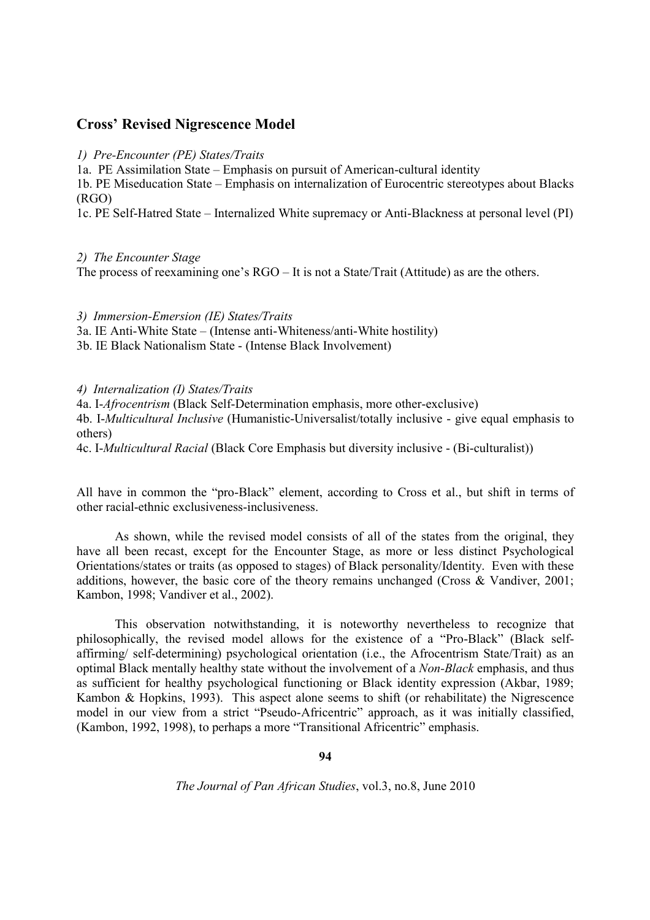## **Cross' Revised Nigrescence Model**

*1) Pre-Encounter (PE) States/Traits*

1a. PE Assimilation State – Emphasis on pursuit of American-cultural identity

1b. PE Miseducation State – Emphasis on internalization of Eurocentric stereotypes about Blacks (RGO)

1c. PE Self-Hatred State – Internalized White supremacy or Anti-Blackness at personal level (PI)

*2) The Encounter Stage*

The process of reexamining one's RGO – It is not a State/Trait (Attitude) as are the others.

*3) Immersion-Emersion (IE) States/Traits*

3a. IE Anti-White State – (Intense anti-Whiteness/anti-White hostility)

3b. IE Black Nationalism State - (Intense Black Involvement)

*4) Internalization (I) States/Traits*

4a. I-*Afrocentrism* (Black Self-Determination emphasis, more other-exclusive)

4b. I-*Multicultural Inclusive* (Humanistic-Universalist/totally inclusive - give equal emphasis to others)

4c. I-*Multicultural Racial* (Black Core Emphasis but diversity inclusive - (Bi-culturalist))

All have in common the "pro-Black" element, according to Cross et al., but shift in terms of other racial-ethnic exclusiveness-inclusiveness.

As shown, while the revised model consists of all of the states from the original, they have all been recast, except for the Encounter Stage, as more or less distinct Psychological Orientations/states or traits (as opposed to stages) of Black personality/Identity. Even with these additions, however, the basic core of the theory remains unchanged (Cross & Vandiver, 2001; Kambon, 1998; Vandiver et al., 2002).

This observation notwithstanding, it is noteworthy nevertheless to recognize that philosophically, the revised model allows for the existence of a "Pro-Black" (Black selfaffirming/ self-determining) psychological orientation (i.e., the Afrocentrism State/Trait) as an optimal Black mentally healthy state without the involvement of a *Non-Black* emphasis, and thus as sufficient for healthy psychological functioning or Black identity expression (Akbar, 1989; Kambon & Hopkins, 1993). This aspect alone seems to shift (or rehabilitate) the Nigrescence model in our view from a strict "Pseudo-Africentric" approach, as it was initially classified, (Kambon, 1992, 1998), to perhaps a more "Transitional Africentric" emphasis.

**94**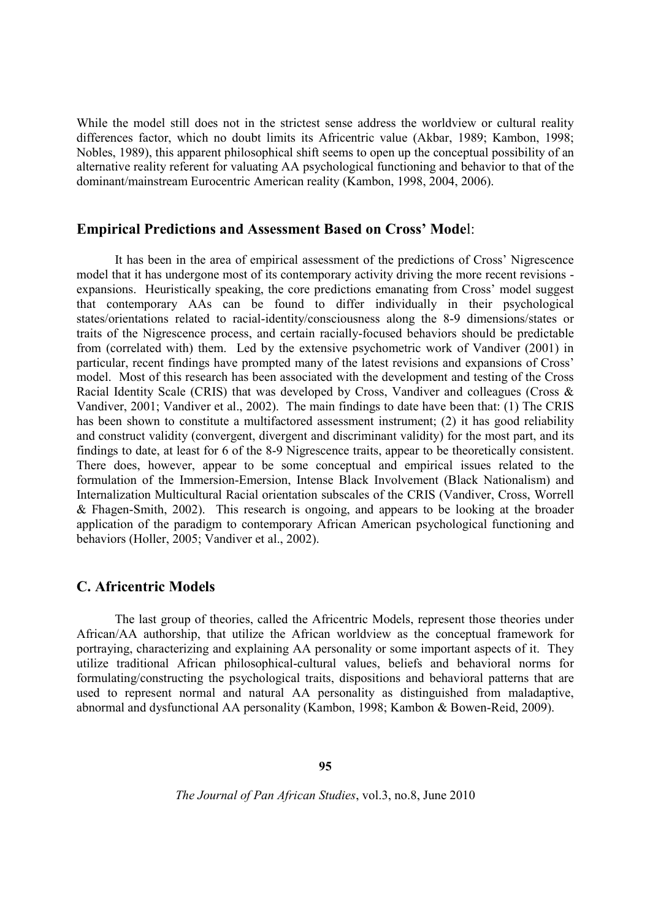While the model still does not in the strictest sense address the worldview or cultural reality differences factor, which no doubt limits its Africentric value (Akbar, 1989; Kambon, 1998; Nobles, 1989), this apparent philosophical shift seems to open up the conceptual possibility of an alternative reality referent for valuating AA psychological functioning and behavior to that of the dominant/mainstream Eurocentric American reality (Kambon, 1998, 2004, 2006).

#### **Empirical Predictions and Assessment Based on Cross' Mode**l:

It has been in the area of empirical assessment of the predictions of Cross' Nigrescence model that it has undergone most of its contemporary activity driving the more recent revisions expansions. Heuristically speaking, the core predictions emanating from Cross' model suggest that contemporary AAs can be found to differ individually in their psychological states/orientations related to racial-identity/consciousness along the 8-9 dimensions/states or traits of the Nigrescence process, and certain racially-focused behaviors should be predictable from (correlated with) them. Led by the extensive psychometric work of Vandiver (2001) in particular, recent findings have prompted many of the latest revisions and expansions of Cross' model. Most of this research has been associated with the development and testing of the Cross Racial Identity Scale (CRIS) that was developed by Cross, Vandiver and colleagues (Cross & Vandiver, 2001; Vandiver et al., 2002). The main findings to date have been that: (1) The CRIS has been shown to constitute a multifactored assessment instrument; (2) it has good reliability and construct validity (convergent, divergent and discriminant validity) for the most part, and its findings to date, at least for 6 of the 8-9 Nigrescence traits, appear to be theoretically consistent. There does, however, appear to be some conceptual and empirical issues related to the formulation of the Immersion-Emersion, Intense Black Involvement (Black Nationalism) and Internalization Multicultural Racial orientation subscales of the CRIS (Vandiver, Cross, Worrell & Fhagen-Smith, 2002). This research is ongoing, and appears to be looking at the broader application of the paradigm to contemporary African American psychological functioning and behaviors (Holler, 2005; Vandiver et al., 2002).

## **C. Africentric Models**

The last group of theories, called the Africentric Models, represent those theories under African/AA authorship, that utilize the African worldview as the conceptual framework for portraying, characterizing and explaining AA personality or some important aspects of it. They utilize traditional African philosophical-cultural values, beliefs and behavioral norms for formulating/constructing the psychological traits, dispositions and behavioral patterns that are used to represent normal and natural AA personality as distinguished from maladaptive, abnormal and dysfunctional AA personality (Kambon, 1998; Kambon & Bowen-Reid, 2009).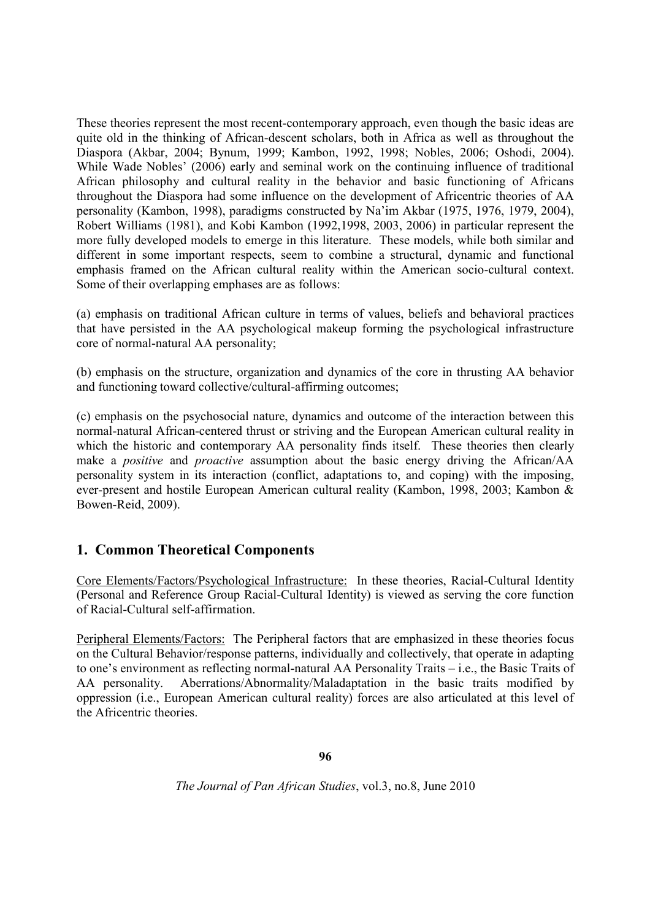These theories represent the most recent-contemporary approach, even though the basic ideas are quite old in the thinking of African-descent scholars, both in Africa as well as throughout the Diaspora (Akbar, 2004; Bynum, 1999; Kambon, 1992, 1998; Nobles, 2006; Oshodi, 2004). While Wade Nobles' (2006) early and seminal work on the continuing influence of traditional African philosophy and cultural reality in the behavior and basic functioning of Africans throughout the Diaspora had some influence on the development of Africentric theories of AA personality (Kambon, 1998), paradigms constructed by Na'im Akbar (1975, 1976, 1979, 2004), Robert Williams (1981), and Kobi Kambon (1992,1998, 2003, 2006) in particular represent the more fully developed models to emerge in this literature. These models, while both similar and different in some important respects, seem to combine a structural, dynamic and functional emphasis framed on the African cultural reality within the American socio-cultural context. Some of their overlapping emphases are as follows:

(a) emphasis on traditional African culture in terms of values, beliefs and behavioral practices that have persisted in the AA psychological makeup forming the psychological infrastructure core of normal-natural AA personality;

(b) emphasis on the structure, organization and dynamics of the core in thrusting AA behavior and functioning toward collective/cultural-affirming outcomes;

(c) emphasis on the psychosocial nature, dynamics and outcome of the interaction between this normal-natural African-centered thrust or striving and the European American cultural reality in which the historic and contemporary AA personality finds itself. These theories then clearly make a *positive* and *proactive* assumption about the basic energy driving the African/AA personality system in its interaction (conflict, adaptations to, and coping) with the imposing, ever-present and hostile European American cultural reality (Kambon, 1998, 2003; Kambon & Bowen-Reid, 2009).

# **1. Common Theoretical Components**

Core Elements/Factors/Psychological Infrastructure: In these theories, Racial-Cultural Identity (Personal and Reference Group Racial-Cultural Identity) is viewed as serving the core function of Racial-Cultural self-affirmation.

Peripheral Elements/Factors: The Peripheral factors that are emphasized in these theories focus on the Cultural Behavior/response patterns, individually and collectively, that operate in adapting to one's environment as reflecting normal-natural AA Personality Traits – i.e., the Basic Traits of AA personality. Aberrations/Abnormality/Maladaptation in the basic traits modified by oppression (i.e., European American cultural reality) forces are also articulated at this level of the Africentric theories.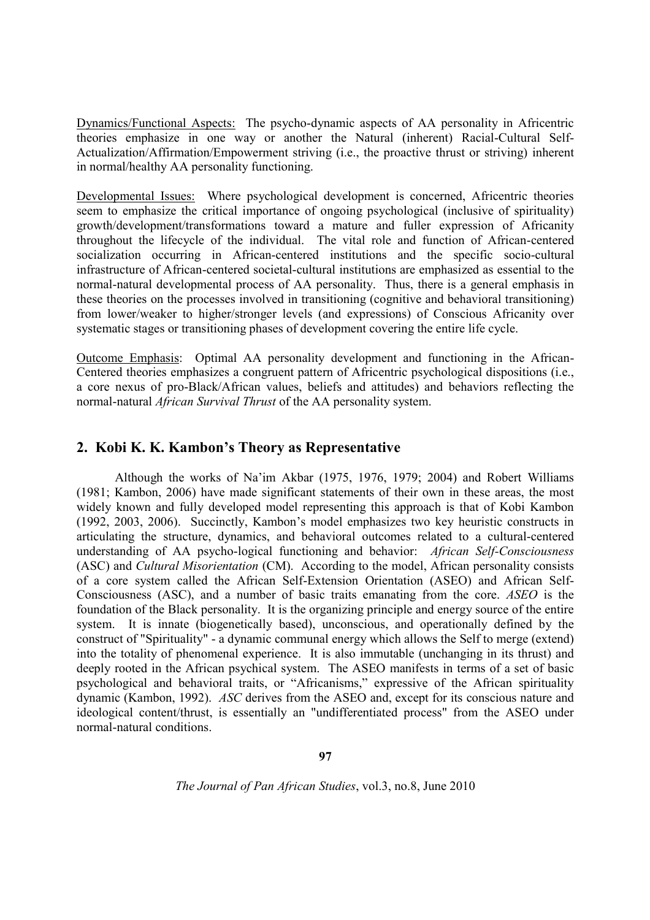Dynamics/Functional Aspects: The psycho-dynamic aspects of AA personality in Africentric theories emphasize in one way or another the Natural (inherent) Racial-Cultural Self-Actualization/Affirmation/Empowerment striving (i.e., the proactive thrust or striving) inherent in normal/healthy AA personality functioning.

Developmental Issues: Where psychological development is concerned, Africentric theories seem to emphasize the critical importance of ongoing psychological (inclusive of spirituality) growth/development/transformations toward a mature and fuller expression of Africanity throughout the lifecycle of the individual. The vital role and function of African-centered socialization occurring in African-centered institutions and the specific socio-cultural infrastructure of African-centered societal-cultural institutions are emphasized as essential to the normal-natural developmental process of AA personality. Thus, there is a general emphasis in these theories on the processes involved in transitioning (cognitive and behavioral transitioning) from lower/weaker to higher/stronger levels (and expressions) of Conscious Africanity over systematic stages or transitioning phases of development covering the entire life cycle.

Outcome Emphasis: Optimal AA personality development and functioning in the African-Centered theories emphasizes a congruent pattern of Africentric psychological dispositions (i.e., a core nexus of pro-Black/African values, beliefs and attitudes) and behaviors reflecting the normal-natural *African Survival Thrust* of the AA personality system.

## **2. Kobi K. K. Kambon's Theory as Representative**

Although the works of Na'im Akbar (1975, 1976, 1979; 2004) and Robert Williams (1981; Kambon, 2006) have made significant statements of their own in these areas, the most widely known and fully developed model representing this approach is that of Kobi Kambon (1992, 2003, 2006). Succinctly, Kambon's model emphasizes two key heuristic constructs in articulating the structure, dynamics, and behavioral outcomes related to a cultural-centered understanding of AA psycho-logical functioning and behavior: *African Self-Consciousness* (ASC) and *Cultural Misorientation* (CM). According to the model, African personality consists of a core system called the African Self-Extension Orientation (ASEO) and African Self-Consciousness (ASC), and a number of basic traits emanating from the core. *ASEO* is the foundation of the Black personality. It is the organizing principle and energy source of the entire system. It is innate (biogenetically based), unconscious, and operationally defined by the construct of "Spirituality" - a dynamic communal energy which allows the Self to merge (extend) into the totality of phenomenal experience. It is also immutable (unchanging in its thrust) and deeply rooted in the African psychical system. The ASEO manifests in terms of a set of basic psychological and behavioral traits, or "Africanisms," expressive of the African spirituality dynamic (Kambon, 1992). *ASC* derives from the ASEO and, except for its conscious nature and ideological content/thrust, is essentially an "undifferentiated process" from the ASEO under normal-natural conditions.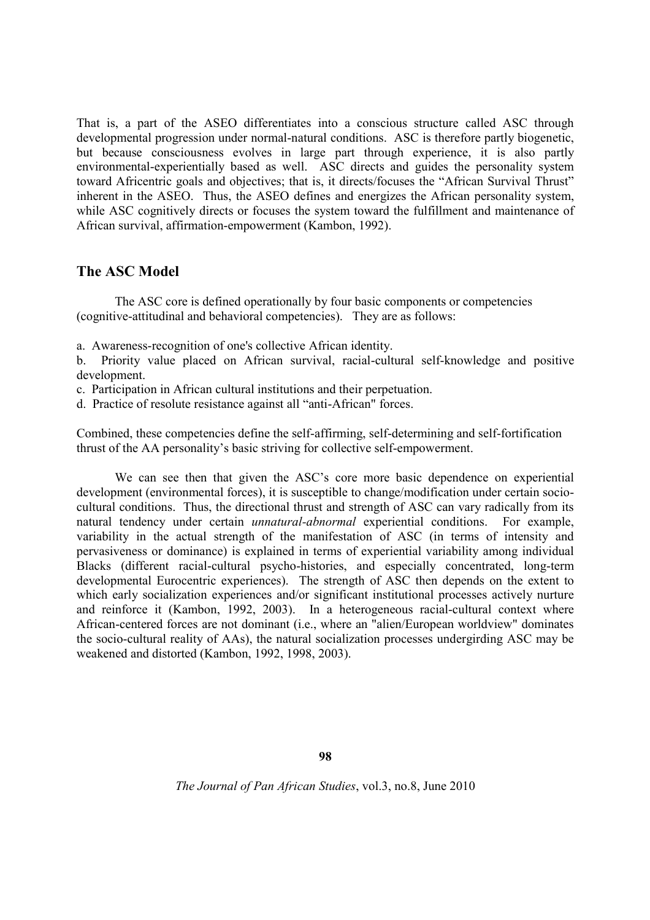That is, a part of the ASEO differentiates into a conscious structure called ASC through developmental progression under normal-natural conditions. ASC is therefore partly biogenetic, but because consciousness evolves in large part through experience, it is also partly environmental-experientially based as well. ASC directs and guides the personality system toward Africentric goals and objectives; that is, it directs/focuses the "African Survival Thrust" inherent in the ASEO. Thus, the ASEO defines and energizes the African personality system, while ASC cognitively directs or focuses the system toward the fulfillment and maintenance of African survival, affirmation-empowerment (Kambon, 1992).

## **The ASC Model**

The ASC core is defined operationally by four basic components or competencies (cognitive-attitudinal and behavioral competencies). They are as follows:

a. Awareness-recognition of one's collective African identity.

b. Priority value placed on African survival, racial-cultural self-knowledge and positive development.

c. Participation in African cultural institutions and their perpetuation.

d. Practice of resolute resistance against all "anti-African" forces.

Combined, these competencies define the self-affirming, self-determining and self-fortification thrust of the AA personality's basic striving for collective self-empowerment.

We can see then that given the ASC's core more basic dependence on experiential development (environmental forces), it is susceptible to change/modification under certain sociocultural conditions. Thus, the directional thrust and strength of ASC can vary radically from its natural tendency under certain *unnatural-abnormal* experiential conditions. For example, variability in the actual strength of the manifestation of ASC (in terms of intensity and pervasiveness or dominance) is explained in terms of experiential variability among individual Blacks (different racial-cultural psycho-histories, and especially concentrated, long-term developmental Eurocentric experiences). The strength of ASC then depends on the extent to which early socialization experiences and/or significant institutional processes actively nurture and reinforce it (Kambon, 1992, 2003). In a heterogeneous racial-cultural context where African-centered forces are not dominant (i.e., where an "alien/European worldview" dominates the socio-cultural reality of AAs), the natural socialization processes undergirding ASC may be weakened and distorted (Kambon, 1992, 1998, 2003).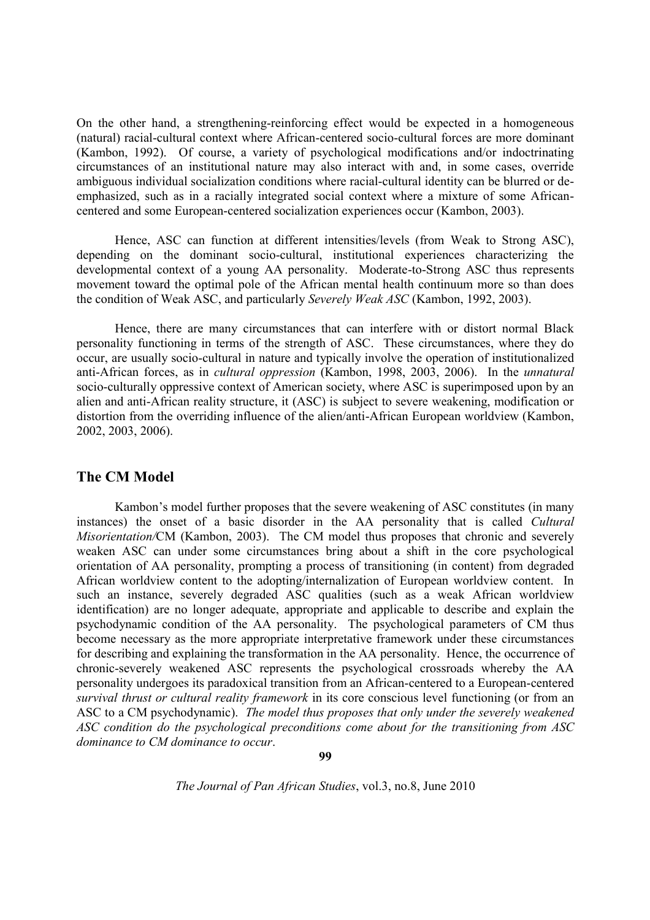On the other hand, a strengthening-reinforcing effect would be expected in a homogeneous (natural) racial-cultural context where African-centered socio-cultural forces are more dominant (Kambon, 1992). Of course, a variety of psychological modifications and/or indoctrinating circumstances of an institutional nature may also interact with and, in some cases, override ambiguous individual socialization conditions where racial-cultural identity can be blurred or deemphasized, such as in a racially integrated social context where a mixture of some Africancentered and some European-centered socialization experiences occur (Kambon, 2003).

Hence, ASC can function at different intensities/levels (from Weak to Strong ASC), depending on the dominant socio-cultural, institutional experiences characterizing the developmental context of a young AA personality. Moderate-to-Strong ASC thus represents movement toward the optimal pole of the African mental health continuum more so than does the condition of Weak ASC, and particularly *Severely Weak ASC* (Kambon, 1992, 2003).

Hence, there are many circumstances that can interfere with or distort normal Black personality functioning in terms of the strength of ASC. These circumstances, where they do occur, are usually socio-cultural in nature and typically involve the operation of institutionalized anti-African forces, as in *cultural oppression* (Kambon, 1998, 2003, 2006). In the *unnatural* socio-culturally oppressive context of American society, where ASC is superimposed upon by an alien and anti-African reality structure, it (ASC) is subject to severe weakening, modification or distortion from the overriding influence of the alien/anti-African European worldview (Kambon, 2002, 2003, 2006).

## **The CM Model**

Kambon's model further proposes that the severe weakening of ASC constitutes (in many instances) the onset of a basic disorder in the AA personality that is called *Cultural Misorientation/CM* (Kambon, 2003). The CM model thus proposes that chronic and severely weaken ASC can under some circumstances bring about a shift in the core psychological orientation of AA personality, prompting a process of transitioning (in content) from degraded African worldview content to the adopting/internalization of European worldview content. In such an instance, severely degraded ASC qualities (such as a weak African worldview identification) are no longer adequate, appropriate and applicable to describe and explain the psychodynamic condition of the AA personality. The psychological parameters of CM thus become necessary as the more appropriate interpretative framework under these circumstances for describing and explaining the transformation in the AA personality. Hence, the occurrence of chronic-severely weakened ASC represents the psychological crossroads whereby the AA personality undergoes its paradoxical transition from an African-centered to a European-centered *survival thrust or cultural reality framework* in its core conscious level functioning (or from an ASC to a CM psychodynamic). *The model thus proposes that only under the severely weakened ASC condition do the psychological preconditions come about for the transitioning from ASC dominance to CM dominance to occur*.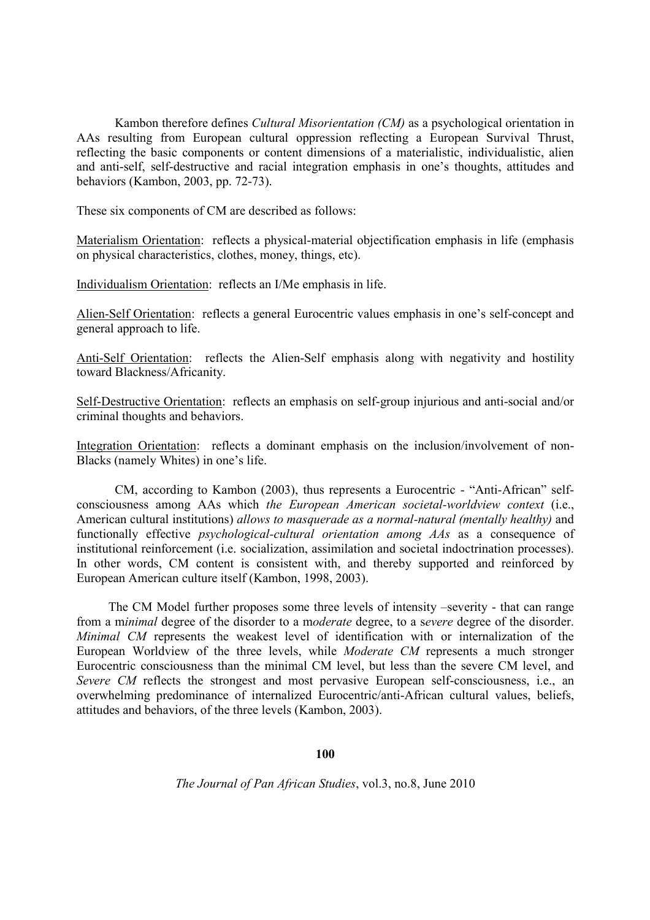Kambon therefore defines *Cultural Misorientation (CM)* as a psychological orientation in AAs resulting from European cultural oppression reflecting a European Survival Thrust, reflecting the basic components or content dimensions of a materialistic, individualistic, alien and anti-self, self-destructive and racial integration emphasis in one's thoughts, attitudes and behaviors (Kambon, 2003, pp. 72-73).

These six components of CM are described as follows:

Materialism Orientation: reflects a physical-material objectification emphasis in life (emphasis on physical characteristics, clothes, money, things, etc).

Individualism Orientation: reflects an I/Me emphasis in life.

Alien-Self Orientation: reflects a general Eurocentric values emphasis in one's self-concept and general approach to life.

Anti-Self Orientation: reflects the Alien-Self emphasis along with negativity and hostility toward Blackness/Africanity.

Self-Destructive Orientation: reflects an emphasis on self-group injurious and anti-social and/or criminal thoughts and behaviors.

Integration Orientation: reflects a dominant emphasis on the inclusion/involvement of non-Blacks (namely Whites) in one's life.

CM, according to Kambon (2003), thus represents a Eurocentric - "Anti-African" selfconsciousness among AAs which *the European American societal-worldview context* (i.e., American cultural institutions) *allows to masquerade as a normal-natural (mentally healthy)* and functionally effective *psychological-cultural orientation among AAs* as a consequence of institutional reinforcement (i.e. socialization, assimilation and societal indoctrination processes). In other words, CM content is consistent with, and thereby supported and reinforced by European American culture itself (Kambon, 1998, 2003).

The CM Model further proposes some three levels of intensity –severity - that can range from a m*inimal* degree of the disorder to a m*oderate* degree, to a s*evere* degree of the disorder. *Minimal CM* represents the weakest level of identification with or internalization of the European Worldview of the three levels, while *Moderate CM* represents a much stronger Eurocentric consciousness than the minimal CM level, but less than the severe CM level, and *Severe CM* reflects the strongest and most pervasive European self-consciousness, i.e., an overwhelming predominance of internalized Eurocentric/anti-African cultural values, beliefs, attitudes and behaviors, of the three levels (Kambon, 2003).

#### **100**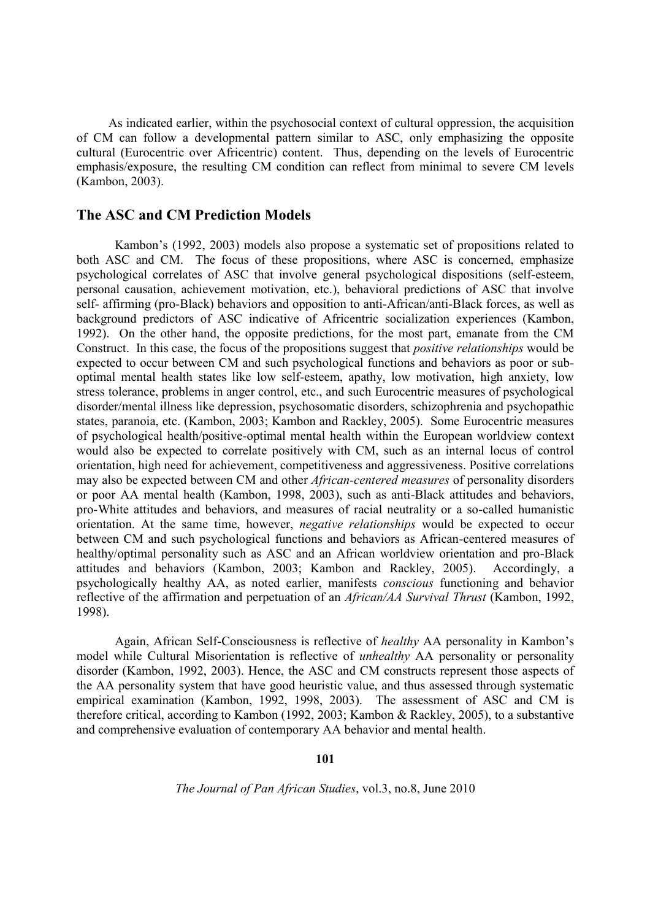As indicated earlier, within the psychosocial context of cultural oppression, the acquisition of CM can follow a developmental pattern similar to ASC, only emphasizing the opposite cultural (Eurocentric over Africentric) content. Thus, depending on the levels of Eurocentric emphasis/exposure, the resulting CM condition can reflect from minimal to severe CM levels (Kambon, 2003).

### **The ASC and CM Prediction Models**

Kambon's (1992, 2003) models also propose a systematic set of propositions related to both ASC and CM. The focus of these propositions, where ASC is concerned, emphasize psychological correlates of ASC that involve general psychological dispositions (self-esteem, personal causation, achievement motivation, etc.), behavioral predictions of ASC that involve self- affirming (pro-Black) behaviors and opposition to anti-African/anti-Black forces, as well as background predictors of ASC indicative of Africentric socialization experiences (Kambon, 1992). On the other hand, the opposite predictions, for the most part, emanate from the CM Construct. In this case, the focus of the propositions suggest that *positive relationships* would be expected to occur between CM and such psychological functions and behaviors as poor or suboptimal mental health states like low self-esteem, apathy, low motivation, high anxiety, low stress tolerance, problems in anger control, etc., and such Eurocentric measures of psychological disorder/mental illness like depression, psychosomatic disorders, schizophrenia and psychopathic states, paranoia, etc. (Kambon, 2003; Kambon and Rackley, 2005). Some Eurocentric measures of psychological health/positive-optimal mental health within the European worldview context would also be expected to correlate positively with CM, such as an internal locus of control orientation, high need for achievement, competitiveness and aggressiveness. Positive correlations may also be expected between CM and other *African-centered measures* of personality disorders or poor AA mental health (Kambon, 1998, 2003), such as anti-Black attitudes and behaviors, pro-White attitudes and behaviors, and measures of racial neutrality or a so-called humanistic orientation. At the same time, however, *negative relationships* would be expected to occur between CM and such psychological functions and behaviors as African-centered measures of healthy/optimal personality such as ASC and an African worldview orientation and pro-Black attitudes and behaviors (Kambon, 2003; Kambon and Rackley, 2005). Accordingly, a psychologically healthy AA, as noted earlier, manifests *conscious* functioning and behavior reflective of the affirmation and perpetuation of an *African/AA Survival Thrust* (Kambon, 1992, 1998).

Again, African Self-Consciousness is reflective of *healthy* AA personality in Kambon's model while Cultural Misorientation is reflective of *unhealthy* AA personality or personality disorder (Kambon, 1992, 2003). Hence, the ASC and CM constructs represent those aspects of the AA personality system that have good heuristic value, and thus assessed through systematic empirical examination (Kambon, 1992, 1998, 2003). The assessment of ASC and CM is therefore critical, according to Kambon (1992, 2003; Kambon & Rackley, 2005), to a substantive and comprehensive evaluation of contemporary AA behavior and mental health.

**101**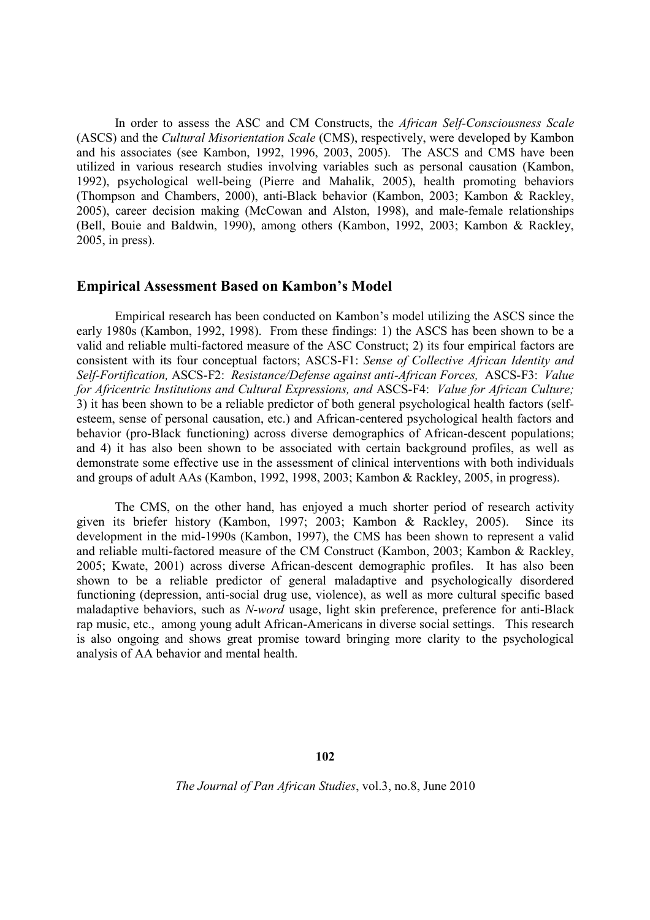In order to assess the ASC and CM Constructs, the *African Self-Consciousness Scale* (ASCS) and the *Cultural Misorientation Scale* (CMS), respectively, were developed by Kambon and his associates (see Kambon, 1992, 1996, 2003, 2005). The ASCS and CMS have been utilized in various research studies involving variables such as personal causation (Kambon, 1992), psychological well-being (Pierre and Mahalik, 2005), health promoting behaviors (Thompson and Chambers, 2000), anti-Black behavior (Kambon, 2003; Kambon & Rackley, 2005), career decision making (McCowan and Alston, 1998), and male-female relationships (Bell, Bouie and Baldwin, 1990), among others (Kambon, 1992, 2003; Kambon & Rackley, 2005, in press).

#### **Empirical Assessment Based on Kambon's Model**

Empirical research has been conducted on Kambon's model utilizing the ASCS since the early 1980s (Kambon, 1992, 1998). From these findings: 1) the ASCS has been shown to be a valid and reliable multi-factored measure of the ASC Construct; 2) its four empirical factors are consistent with its four conceptual factors; ASCS-F1: *Sense of Collective African Identity and Self-Fortification,* ASCS-F2: *Resistance/Defense against anti-African Forces,* ASCS-F3: *Value for Africentric Institutions and Cultural Expressions, and* ASCS-F4: *Value for African Culture;* 3) it has been shown to be a reliable predictor of both general psychological health factors (selfesteem, sense of personal causation, etc.) and African-centered psychological health factors and behavior (pro-Black functioning) across diverse demographics of African-descent populations; and 4) it has also been shown to be associated with certain background profiles, as well as demonstrate some effective use in the assessment of clinical interventions with both individuals and groups of adult AAs (Kambon, 1992, 1998, 2003; Kambon & Rackley, 2005, in progress).

The CMS, on the other hand, has enjoyed a much shorter period of research activity given its briefer history (Kambon, 1997; 2003; Kambon & Rackley, 2005). Since its development in the mid-1990s (Kambon, 1997), the CMS has been shown to represent a valid and reliable multi-factored measure of the CM Construct (Kambon, 2003; Kambon & Rackley, 2005; Kwate, 2001) across diverse African-descent demographic profiles. It has also been shown to be a reliable predictor of general maladaptive and psychologically disordered functioning (depression, anti-social drug use, violence), as well as more cultural specific based maladaptive behaviors, such as *N-word* usage, light skin preference, preference for anti-Black rap music, etc., among young adult African-Americans in diverse social settings. This research is also ongoing and shows great promise toward bringing more clarity to the psychological analysis of AA behavior and mental health.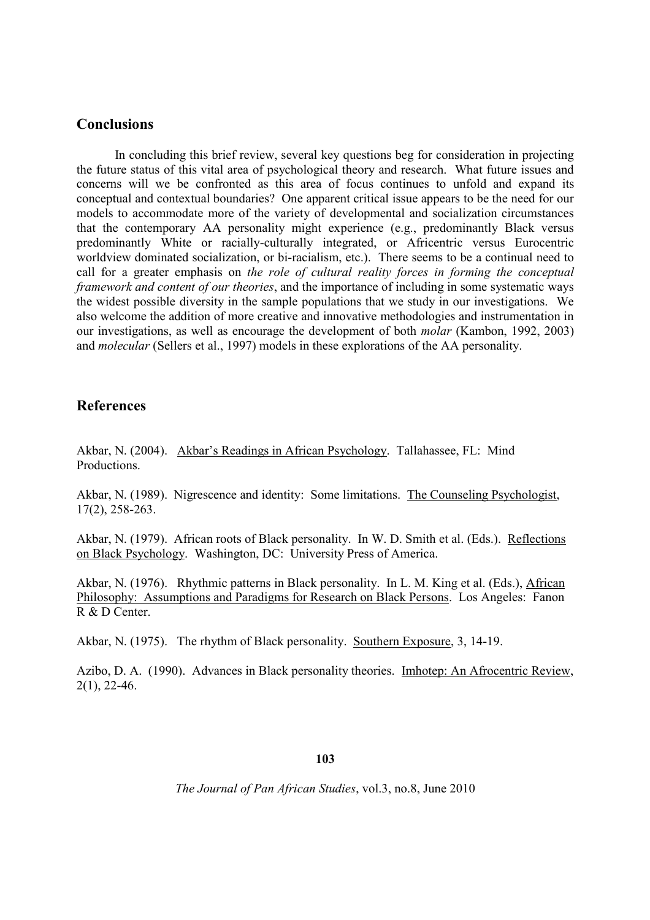## **Conclusions**

In concluding this brief review, several key questions beg for consideration in projecting the future status of this vital area of psychological theory and research. What future issues and concerns will we be confronted as this area of focus continues to unfold and expand its conceptual and contextual boundaries? One apparent critical issue appears to be the need for our models to accommodate more of the variety of developmental and socialization circumstances that the contemporary AA personality might experience (e.g., predominantly Black versus predominantly White or racially-culturally integrated, or Africentric versus Eurocentric worldview dominated socialization, or bi-racialism, etc.). There seems to be a continual need to call for a greater emphasis on *the role of cultural reality forces in forming the conceptual framework and content of our theories*, and the importance of including in some systematic ways the widest possible diversity in the sample populations that we study in our investigations. We also welcome the addition of more creative and innovative methodologies and instrumentation in our investigations, as well as encourage the development of both *molar* (Kambon, 1992, 2003) and *molecular* (Sellers et al., 1997) models in these explorations of the AA personality.

## **References**

Akbar, N. (2004). Akbar's Readings in African Psychology. Tallahassee, FL: Mind Productions.

Akbar, N. (1989). Nigrescence and identity: Some limitations. The Counseling Psychologist, 17(2), 258-263.

Akbar, N. (1979). African roots of Black personality. In W. D. Smith et al. (Eds.). Reflections on Black Psychology. Washington, DC: University Press of America.

Akbar, N. (1976). Rhythmic patterns in Black personality. In L. M. King et al. (Eds.), African Philosophy: Assumptions and Paradigms for Research on Black Persons. Los Angeles: Fanon R & D Center.

Akbar, N. (1975). The rhythm of Black personality. Southern Exposure, 3, 14-19.

Azibo, D. A. (1990). Advances in Black personality theories. Imhotep: An Afrocentric Review, 2(1), 22-46.

## **103**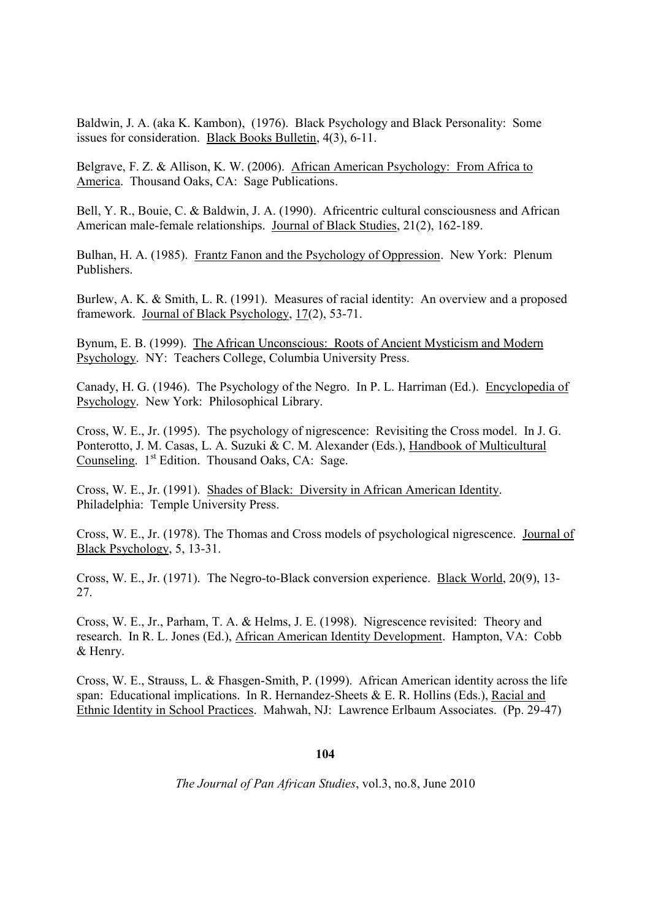Baldwin, J. A. (aka K. Kambon), (1976). Black Psychology and Black Personality: Some issues for consideration. Black Books Bulletin, 4(3), 6-11.

Belgrave, F. Z. & Allison, K. W. (2006). African American Psychology: From Africa to America. Thousand Oaks, CA: Sage Publications.

Bell, Y. R., Bouie, C. & Baldwin, J. A. (1990). Africentric cultural consciousness and African American male-female relationships. Journal of Black Studies, 21(2), 162-189.

Bulhan, H. A. (1985). Frantz Fanon and the Psychology of Oppression. New York: Plenum Publishers.

Burlew, A. K. & Smith, L. R. (1991). Measures of racial identity: An overview and a proposed framework. Journal of Black Psychology, 17(2), 53-71.

Bynum, E. B. (1999). The African Unconscious: Roots of Ancient Mysticism and Modern Psychology. NY: Teachers College, Columbia University Press.

Canady, H. G. (1946). The Psychology of the Negro. In P. L. Harriman (Ed.). Encyclopedia of Psychology. New York: Philosophical Library.

Cross, W. E., Jr. (1995). The psychology of nigrescence: Revisiting the Cross model. In J. G. Ponterotto, J. M. Casas, L. A. Suzuki & C. M. Alexander (Eds.), Handbook of Multicultural Counseling. 1<sup>st</sup> Edition. Thousand Oaks, CA: Sage.

Cross, W. E., Jr. (1991). Shades of Black: Diversity in African American Identity. Philadelphia: Temple University Press.

Cross, W. E., Jr. (1978). The Thomas and Cross models of psychological nigrescence. Journal of Black Psychology, 5, 13-31.

Cross, W. E., Jr. (1971). The Negro-to-Black conversion experience. Black World, 20(9), 13- 27.

Cross, W. E., Jr., Parham, T. A. & Helms, J. E. (1998). Nigrescence revisited: Theory and research. In R. L. Jones (Ed.), African American Identity Development. Hampton, VA: Cobb & Henry.

Cross, W. E., Strauss, L. & Fhasgen-Smith, P. (1999). African American identity across the life span: Educational implications. In R. Hernandez-Sheets & E. R. Hollins (Eds.), Racial and Ethnic Identity in School Practices. Mahwah, NJ: Lawrence Erlbaum Associates. (Pp. 29-47)

#### **104**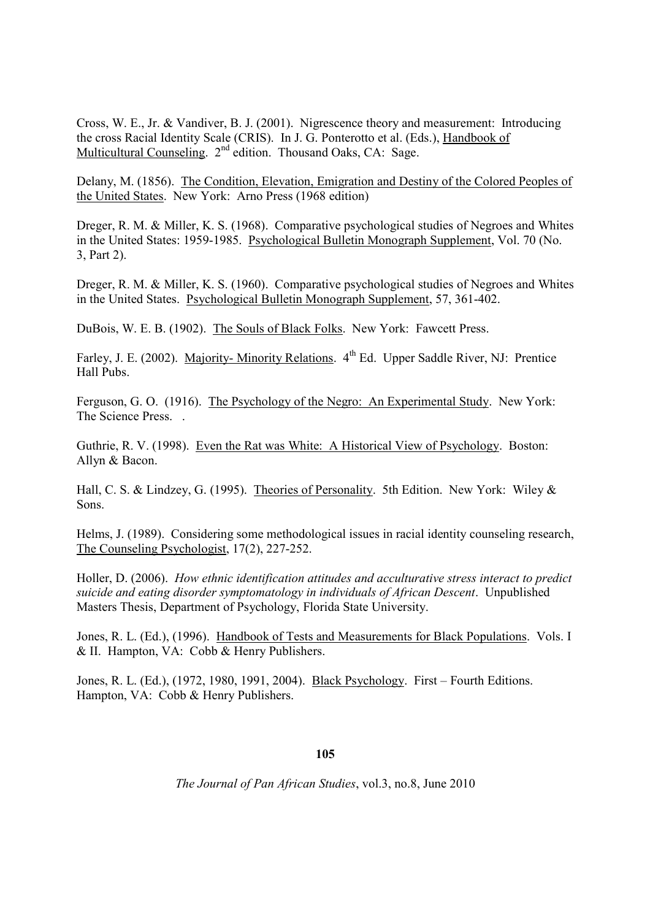Cross, W. E., Jr. & Vandiver, B. J. (2001). Nigrescence theory and measurement: Introducing the cross Racial Identity Scale (CRIS). In J. G. Ponterotto et al. (Eds.), Handbook of Multicultural Counseling. 2<sup>nd</sup> edition. Thousand Oaks, CA: Sage.

Delany, M. (1856). The Condition, Elevation, Emigration and Destiny of the Colored Peoples of the United States. New York: Arno Press (1968 edition)

Dreger, R. M. & Miller, K. S. (1968). Comparative psychological studies of Negroes and Whites in the United States: 1959-1985. Psychological Bulletin Monograph Supplement, Vol. 70 (No. 3, Part 2).

Dreger, R. M. & Miller, K. S. (1960). Comparative psychological studies of Negroes and Whites in the United States. Psychological Bulletin Monograph Supplement, 57, 361-402.

DuBois, W. E. B. (1902). The Souls of Black Folks. New York: Fawcett Press.

Farley, J. E. (2002). Majority- Minority Relations. 4<sup>th</sup> Ed. Upper Saddle River, NJ: Prentice Hall Pubs.

Ferguson, G. O. (1916). The Psychology of the Negro: An Experimental Study. New York: The Science Press. .

Guthrie, R. V. (1998). Even the Rat was White: A Historical View of Psychology. Boston: Allyn & Bacon.

Hall, C. S. & Lindzey, G. (1995). Theories of Personality. 5th Edition. New York: Wiley & Sons.

Helms, J. (1989). Considering some methodological issues in racial identity counseling research, The Counseling Psychologist, 17(2), 227-252.

Holler, D. (2006). *How ethnic identification attitudes and acculturative stress interact to predict suicide and eating disorder symptomatology in individuals of African Descent*. Unpublished Masters Thesis, Department of Psychology, Florida State University.

Jones, R. L. (Ed.), (1996). Handbook of Tests and Measurements for Black Populations. Vols. I & II. Hampton, VA: Cobb & Henry Publishers.

Jones, R. L. (Ed.), (1972, 1980, 1991, 2004). Black Psychology. First – Fourth Editions. Hampton, VA: Cobb & Henry Publishers.

#### **105**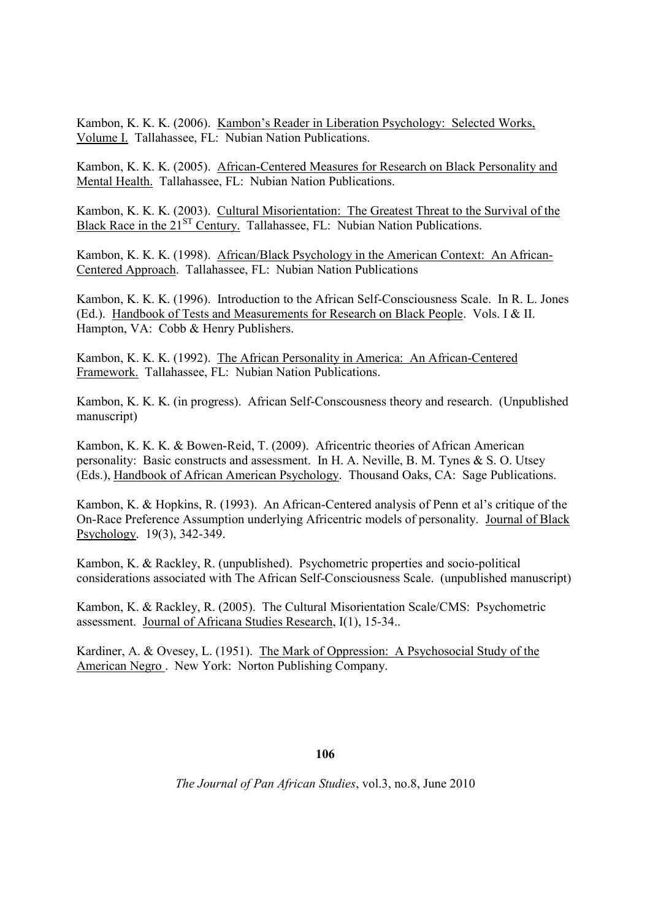Kambon, K. K. K. (2006). Kambon's Reader in Liberation Psychology: Selected Works, Volume I. Tallahassee, FL: Nubian Nation Publications.

Kambon, K. K. K. (2005). African-Centered Measures for Research on Black Personality and Mental Health. Tallahassee, FL: Nubian Nation Publications.

Kambon, K. K. K. (2003). Cultural Misorientation: The Greatest Threat to the Survival of the Black Race in the 21<sup>ST</sup> Century. Tallahassee, FL: Nubian Nation Publications.

Kambon, K. K. K. (1998). African/Black Psychology in the American Context: An African-Centered Approach. Tallahassee, FL: Nubian Nation Publications

Kambon, K. K. K. (1996). Introduction to the African Self-Consciousness Scale. In R. L. Jones (Ed.). Handbook of Tests and Measurements for Research on Black People. Vols. I & II. Hampton, VA: Cobb & Henry Publishers.

Kambon, K. K. K. (1992). The African Personality in America: An African-Centered Framework. Tallahassee, FL: Nubian Nation Publications.

Kambon, K. K. K. (in progress). African Self-Conscousness theory and research. (Unpublished manuscript)

Kambon, K. K. K. & Bowen-Reid, T. (2009). Africentric theories of African American personality: Basic constructs and assessment. In H. A. Neville, B. M. Tynes & S. O. Utsey (Eds.), Handbook of African American Psychology. Thousand Oaks, CA: Sage Publications.

Kambon, K. & Hopkins, R. (1993). An African-Centered analysis of Penn et al's critique of the On-Race Preference Assumption underlying Africentric models of personality. Journal of Black Psychology. 19(3), 342-349.

Kambon, K. & Rackley, R. (unpublished). Psychometric properties and socio-political considerations associated with The African Self-Consciousness Scale. (unpublished manuscript)

Kambon, K. & Rackley, R. (2005). The Cultural Misorientation Scale/CMS: Psychometric assessment. Journal of Africana Studies Research, I(1), 15-34..

Kardiner, A. & Ovesey, L. (1951). The Mark of Oppression: A Psychosocial Study of the American Negro . New York: Norton Publishing Company.

**106**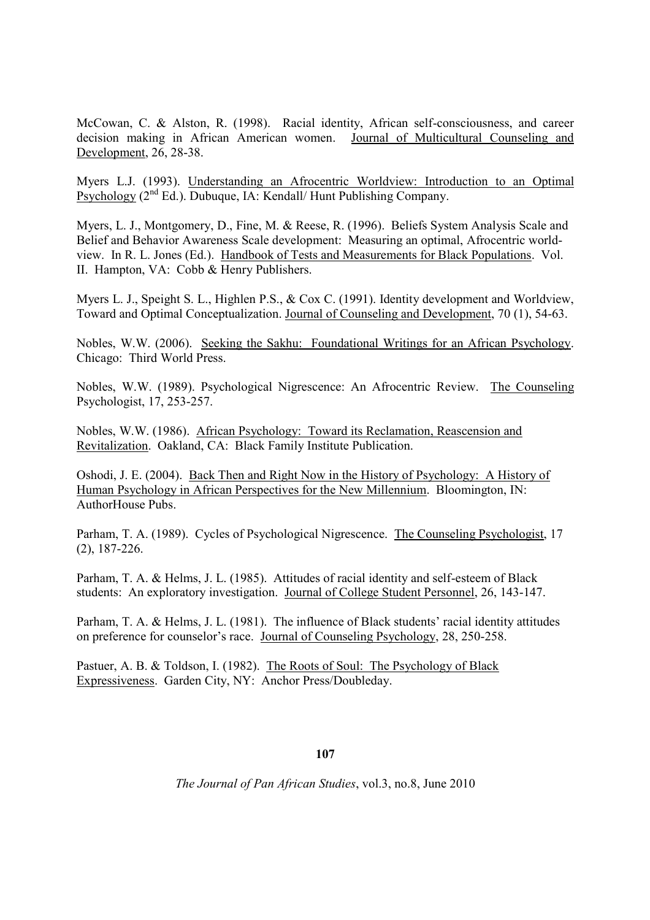McCowan, C. & Alston, R. (1998). Racial identity, African self-consciousness, and career decision making in African American women. Journal of Multicultural Counseling and Development, 26, 28-38.

Myers L.J. (1993). Understanding an Afrocentric Worldview: Introduction to an Optimal Psychology (2nd Ed.). Dubuque, IA: Kendall/ Hunt Publishing Company.

Myers, L. J., Montgomery, D., Fine, M. & Reese, R. (1996). Beliefs System Analysis Scale and Belief and Behavior Awareness Scale development: Measuring an optimal, Afrocentric worldview. In R. L. Jones (Ed.). Handbook of Tests and Measurements for Black Populations. Vol. II. Hampton, VA: Cobb & Henry Publishers.

Myers L. J., Speight S. L., Highlen P.S., & Cox C. (1991). Identity development and Worldview, Toward and Optimal Conceptualization. Journal of Counseling and Development, 70 (1), 54-63.

Nobles, W.W. (2006). Seeking the Sakhu: Foundational Writings for an African Psychology. Chicago: Third World Press.

Nobles, W.W. (1989). Psychological Nigrescence: An Afrocentric Review. The Counseling Psychologist, 17, 253-257.

Nobles, W.W. (1986). African Psychology: Toward its Reclamation, Reascension and Revitalization. Oakland, CA: Black Family Institute Publication.

Oshodi, J. E. (2004). Back Then and Right Now in the History of Psychology: A History of Human Psychology in African Perspectives for the New Millennium. Bloomington, IN: AuthorHouse Pubs.

Parham, T. A. (1989). Cycles of Psychological Nigrescence. The Counseling Psychologist, 17 (2), 187-226.

Parham, T. A. & Helms, J. L. (1985). Attitudes of racial identity and self-esteem of Black students: An exploratory investigation. Journal of College Student Personnel, 26, 143-147.

Parham, T. A. & Helms, J. L. (1981). The influence of Black students' racial identity attitudes on preference for counselor's race. Journal of Counseling Psychology, 28, 250-258.

Pastuer, A. B. & Toldson, I. (1982). The Roots of Soul: The Psychology of Black Expressiveness. Garden City, NY: Anchor Press/Doubleday.

#### **107**